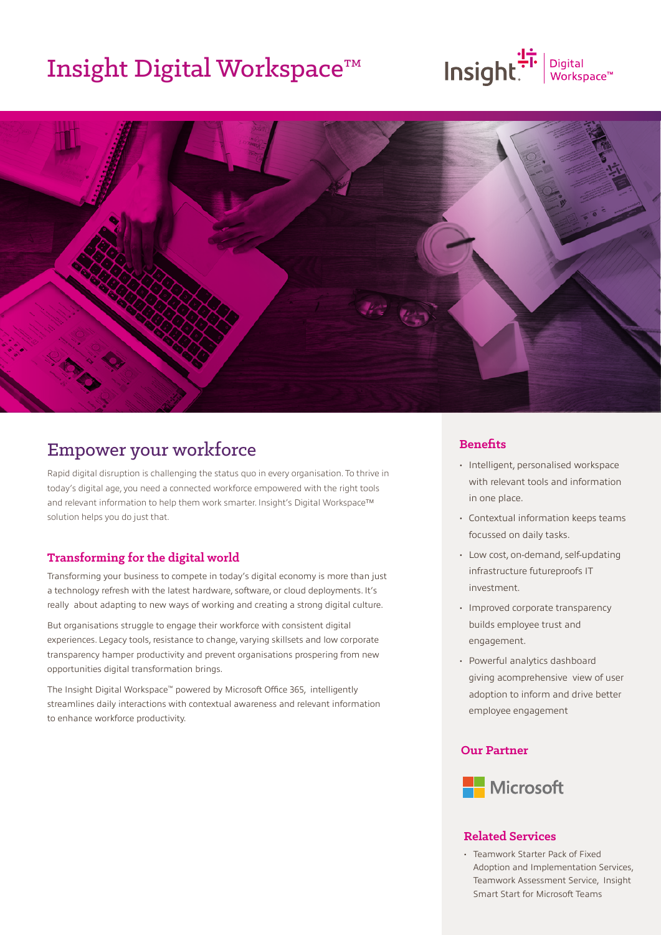## Insight Digital Workspace™

# $\overline{\text{Insight}}$   $\overline{\text{F}}$   $\overline{\text{F}}$   $\overline{\text{F}}$   $\overline{\text{F}}$   $\overline{\text{F}}$   $\overline{\text{F}}$   $\overline{\text{F}}$   $\overline{\text{F}}$   $\overline{\text{F}}$   $\overline{\text{F}}$   $\overline{\text{F}}$   $\overline{\text{F}}$   $\overline{\text{F}}$   $\overline{\text{F}}$   $\overline{\text{F}}$   $\overline{\text{F}}$   $\overline{\text{F}}$   $\overline{\text{F}}$   $\overline{\text{F}}$



### Empower your workforce

Rapid digital disruption is challenging the status quo in every organisation. To thrive in today's digital age, you need a connected workforce empowered with the right tools and relevant information to help them work smarter. Insight's Digital Workspace™ solution helps you do just that.

#### **Transforming for the digital world**

Transforming your business to compete in today's digital economy is more than just a technology refresh with the latest hardware, software, or cloud deployments. It's really about adapting to new ways of working and creating a strong digital culture.

But organisations struggle to engage their workforce with consistent digital experiences. Legacy tools, resistance to change, varying skillsets and low corporate transparency hamper productivity and prevent organisations prospering from new opportunities digital transformation brings.

The Insight Digital Workspace™ powered by Microsoft Office 365, intelligently streamlines daily interactions with contextual awareness and relevant information to enhance workforce productivity.

#### **Benefits**

- Intelligent, personalised workspace with relevant tools and information in one place.
- Contextual information keeps teams focussed on daily tasks.
- Low cost, on-demand, self-updating infrastructure futureproofs IT investment.
- Improved corporate transparency builds employee trust and engagement.
- Powerful analytics dashboard giving acomprehensive view of user adoption to inform and drive better employee engagement

#### **Our Partner**



#### **Related Services**

• Teamwork Starter Pack of Fixed Adoption and Implementation Services, Teamwork Assessment Service, Insight Smart Start for Microsoft Teams